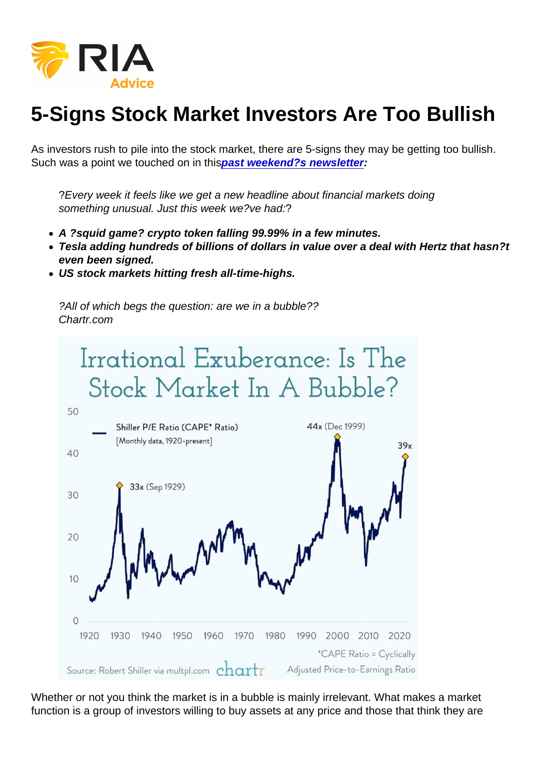# 5-Signs Stock Market Investors Are Too Bullish

As investors rush to pile into the stock market, there are 5-signs they may be getting too bullish. Such was a point we touched on in thi[spast weekend?s newsletter](https://realinvestmentadvice.com/did-the-fed-just-set-the-stock-market-up-for-a-crash-11-05-21/) :

?Every week it feels like we get a new headline about financial markets doing something unusual. Just this week we?ve had:?

- A ?squid game? crypto token falling 99.99% in a few minutes.
- Tesla adding hundreds of billions of dollars in value over a deal with Hertz that hasn?t even been signed.
- US stock markets hitting fresh all-time-highs.

?All of which begs the question: are we in a bubble?? Chartr.com

Whether or not you think the market is in a bubble is mainly irrelevant. What makes a market function is a group of investors willing to buy assets at any price and those that think they are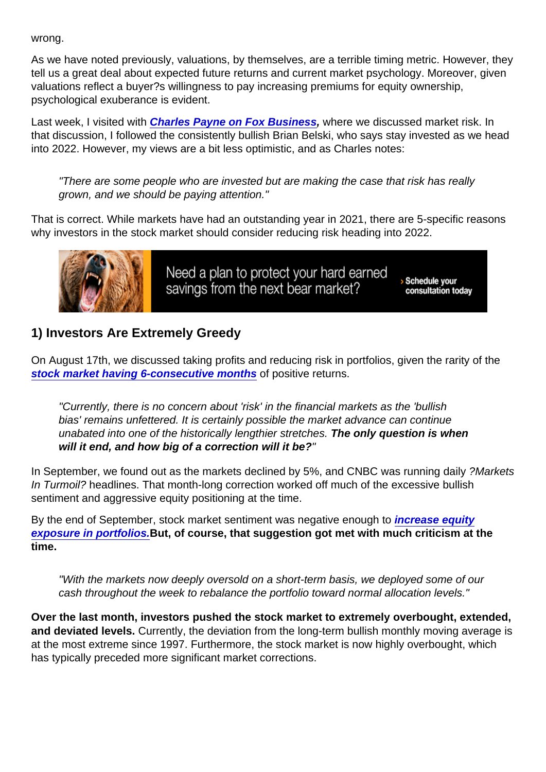#### wrong.

As we have noted previously, valuations, by themselves, are a terrible timing metric. However, they tell us a great deal about expected future returns and current market psychology. Moreover, given valuations reflect a buyer?s willingness to pay increasing premiums for equity ownership, psychological exuberance is evident.

Last week, I visited with Charles Pa [yne on Fox Business](http://video.foxbusiness.com/v/6280496092001), where we discussed market risk. In that discussion, I followed the consistently bullish Brian Belski, who says stay invested as we head into 2022. However, my views are a bit less optimistic, and as Charles notes:

"There are some people who are invested but are making the case that risk has really grown, and we should be paying attention."

That is correct. While markets have had an outstanding year in 2021, there are 5-specific reasons why investors in the stock market should consider reducing risk heading into 2022.

#### 1) Investors Are Extremely Greedy

On August 17th, we discussed taking profits and reducing risk in portfolios, given the rarity of the [stock market having 6-consecutive months](https://realinvestmentadvice.com/technically-speaking-6-positive-market-months-what-happens-next/) of positive returns.

"Currently, there is no concern about 'risk' in the financial markets as the 'bullish bias' remains unfettered. It is certainly possible the market advance can continue unabated into one of the historically lengthier stretches. The only question is when will it end, and how big of a correction will it be?

In September, we found out as the markets declined by 5%, and CNBC was running daily ?Markets In Turmoil? headlines. That month-long correction worked off much of the excessive bullish sentiment and aggressive equity positioning at the time.

By the end of September, stock market sentiment was negative enough to [increase equity](https://realinvestmentadvice.com/correction-is-over-bulls-jump-back-into-the-risk-pool/) [exposure in portfolios.](https://realinvestmentadvice.com/correction-is-over-bulls-jump-back-into-the-risk-pool/) But, of course, that suggestion got met with much criticism at the time.

"With the markets now deeply oversold on a short-term basis, we deployed some of our cash throughout the week to rebalance the portfolio toward normal allocation levels."

Over the last month, investors pushed the stock market to extremely overbought, extended, and deviated levels. Currently, the deviation from the long-term bullish monthly moving average is at the most extreme since 1997. Furthermore, the stock market is now highly overbought, which has typically preceded more significant market corrections.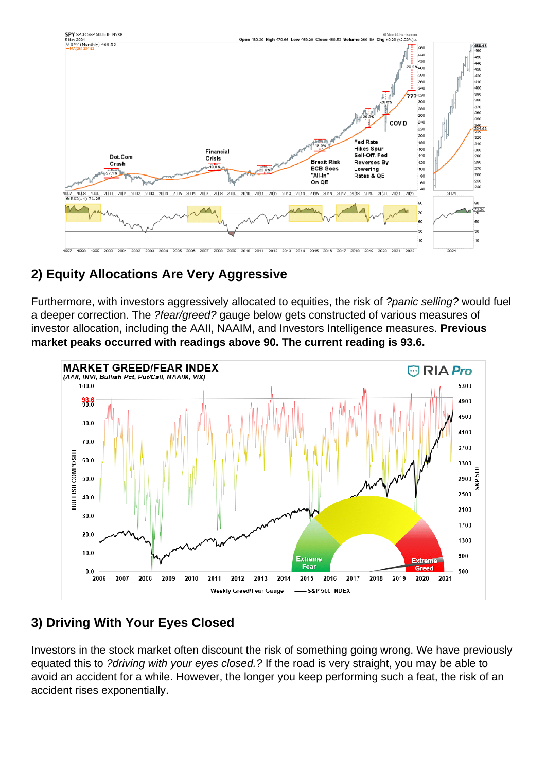### 2) Equity Allocations Are Very Aggressive

Furthermore, with investors aggressively allocated to equities, the risk of ?panic selling? would fuel a deeper correction. The ?fear/greed? gauge below gets constructed of various measures of investor allocation, including the AAII, NAAIM, and Investors Intelligence measures. Previous market peaks occurred with readings above 90. The current reading is 93.6.

#### 3) Driving With Your Eyes Closed

Investors in the stock market often discount the risk of something going wrong. We have previously equated this to ?driving with your eyes closed.? If the road is very straight, you may be able to avoid an accident for a while. However, the longer you keep performing such a feat, the risk of an accident rises exponentially.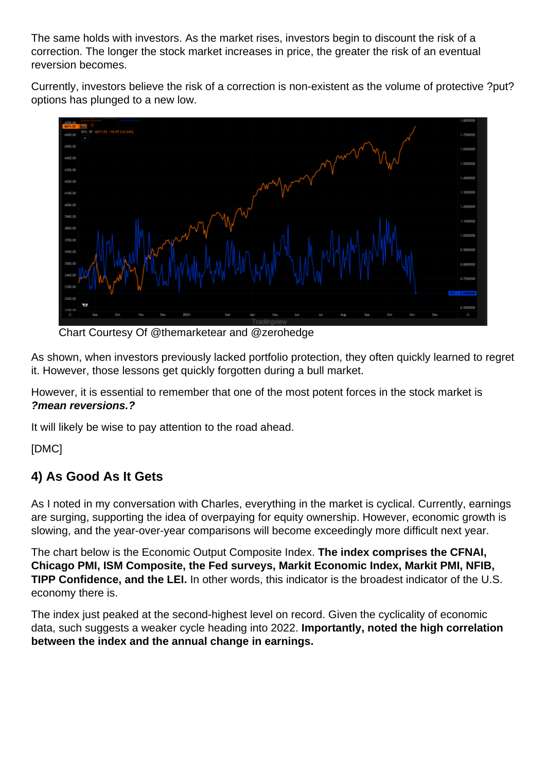The same holds with investors. As the market rises, investors begin to discount the risk of a correction. The longer the stock market increases in price, the greater the risk of an eventual reversion becomes.

Currently, investors believe the risk of a correction is non-existent as the volume of protective ?put? options has plunged to a new low.

Chart Courtesy Of @themarketear and @zerohedge

As shown, when investors previously lacked portfolio protection, they often quickly learned to regret it. However, those lessons get quickly forgotten during a bull market.

However, it is essential to remember that one of the most potent forces in the stock market is ?mean reversions.?

It will likely be wise to pay attention to the road ahead.

[DMC]

# 4) As Good As It Gets

As I noted in my conversation with Charles, everything in the market is cyclical. Currently, earnings are surging, supporting the idea of overpaying for equity ownership. However, economic growth is slowing, and the year-over-year comparisons will become exceedingly more difficult next year.

The chart below is the Economic Output Composite Index. The index comprises the CFNAI, Chicago PMI, ISM Composite, the Fed surveys, Markit Economic Index, Markit PMI, NFIB, TIPP Confidence, and the LEI. In other words, this indicator is the broadest indicator of the U.S. economy there is.

The index just peaked at the second-highest level on record. Given the cyclicality of economic data, such suggests a weaker cycle heading into 2022. Importantly, noted the high correlation between the index and the annual change in earnings.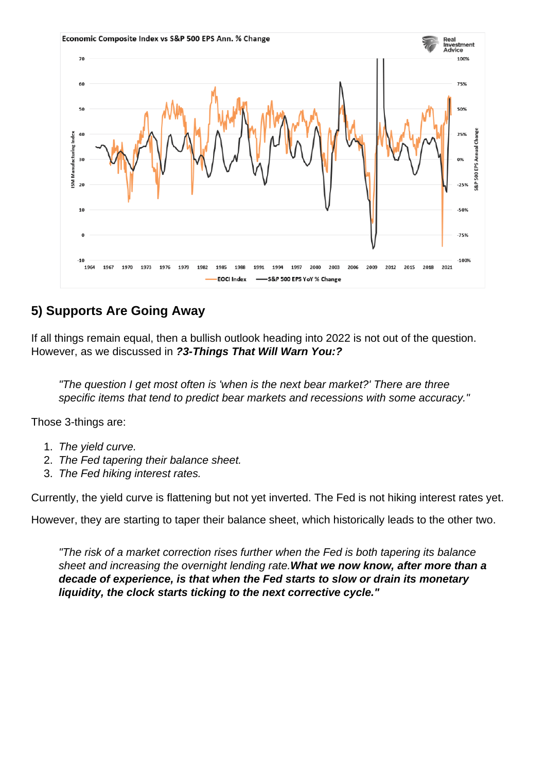#### 5) Supports Are Going Away

If all things remain equal, then a bullish outlook heading into 2022 is not out of the question. However, as we discussed in ?3-Things That Will Warn You:?

"The question I get most often is 'when is the next bear market?' There are three specific items that tend to predict bear markets and recessions with some accuracy."

Those 3-things are:

- 1. The yield curve.
- 2. The Fed tapering their balance sheet.
- 3. The Fed hiking interest rates.

Currently, the yield curve is flattening but not yet inverted. The Fed is not hiking interest rates yet.

However, they are starting to taper their balance sheet, which historically leads to the other two.

"The risk of a market correction rises further when the Fed is both tapering its balance sheet and increasing the overnight lending rate.What we now know, after more than a decade of experience, is that when the Fed starts to slow or drain its monetary liquidity, the clock starts ticking to the next corrective cycle."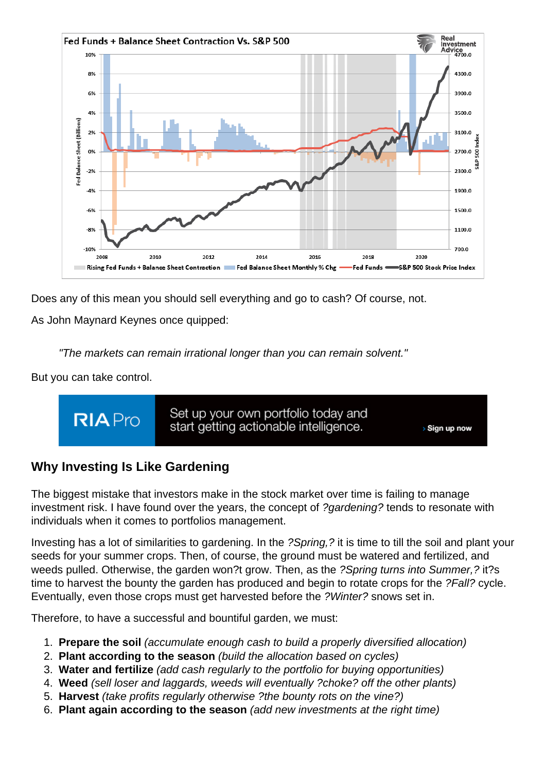Does any of this mean you should sell everything and go to cash? Of course, not.

As John Maynard Keynes once quipped:

"The markets can remain irrational longer than you can remain solvent."

But you can take control.

# Why Investing Is Like Gardening

The biggest mistake that investors make in the stock market over time is failing to manage investment risk. I have found over the years, the concept of ?gardening? tends to resonate with individuals when it comes to portfolios management.

Investing has a lot of similarities to gardening. In the ?Spring,? it is time to till the soil and plant your seeds for your summer crops. Then, of course, the ground must be watered and fertilized, and weeds pulled. Otherwise, the garden won?t grow. Then, as the ?Spring turns into Summer,? it?s time to harvest the bounty the garden has produced and begin to rotate crops for the ?Fall? cycle. Eventually, even those crops must get harvested before the ?Winter? snows set in.

Therefore, to have a successful and bountiful garden, we must:

- 1. Prepare the soil (accumulate enough cash to build a properly diversified allocation)
- 2. Plant according to the season (build the allocation based on cycles)
- 3. Water and fertilize (add cash regularly to the portfolio for buying opportunities)
- 4. Weed (sell loser and laggards, weeds will eventually ?choke? off the other plants)
- 5. Harvest (take profits regularly otherwise ?the bounty rots on the vine?)
- 6. Plant again according to the season (add new investments at the right time)